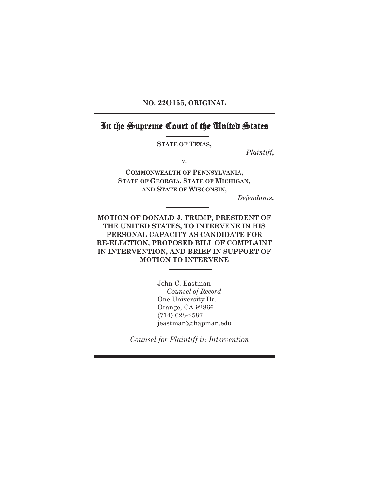**NO. 22O155, ORIGINAL** 

# In the Supreme Court of the United States

**STATE OF TEXAS,**

*Plaintiff***,** 

v.

**COMMONWEALTH OF PENNSYLVANIA, STATE OF GEORGIA, STATE OF MICHIGAN, AND STATE OF WISCONSIN,** 

*Defendants***.** 

**MOTION OF DONALD J. TRUMP, PRESIDENT OF THE UNITED STATES, TO INTERVENE IN HIS PERSONAL CAPACITY AS CANDIDATE FOR RE-ELECTION, PROPOSED BILL OF COMPLAINT IN INTERVENTION, AND BRIEF IN SUPPORT OF MOTION TO INTERVENE** 

> John C. Eastman *Counsel of Record*  One University Dr. Orange, CA 92866 (714) 628-2587 jeastman@chapman.edu

*Counsel for Plaintiff in Intervention*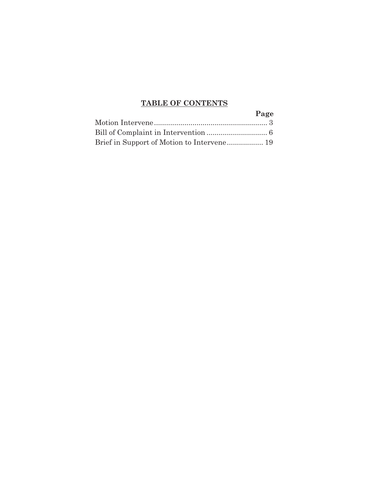# **TABLE OF CONTENTS**

| Page |
|------|
|      |
|      |
|      |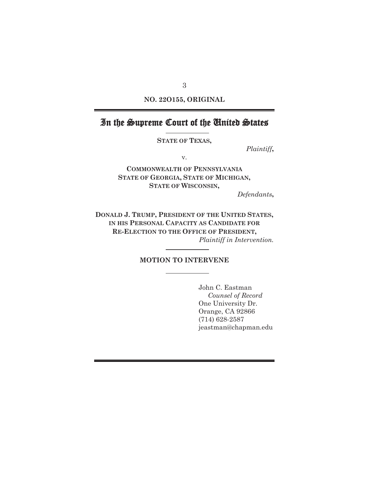**NO. 22O155, ORIGINAL** 

# In the Supreme Court of the United States

**STATE OF TEXAS,** 

*Plaintiff***,** 

v.

**COMMONWEALTH OF PENNSYLVANIA STATE OF GEORGIA, STATE OF MICHIGAN, STATE OF WISCONSIN,** 

*Defendants***,** 

**DONALD J. TRUMP, PRESIDENT OF THE UNITED STATES, IN HIS PERSONAL CAPACITY AS CANDIDATE FOR RE-ELECTION TO THE OFFICE OF PRESIDENT,**  *Plaintiff in Intervention.*

#### **MOTION TO INTERVENE**

John C. Eastman *Counsel of Record*  One University Dr. Orange, CA 92866 (714) 628-2587 jeastman@chapman.edu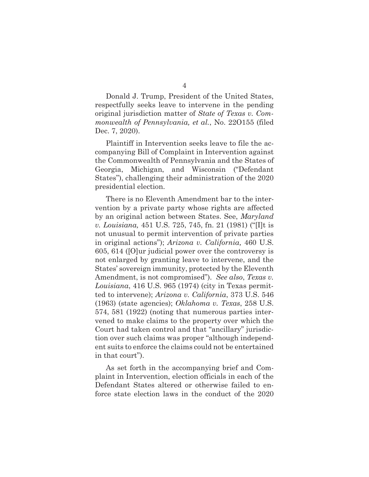Donald J. Trump, President of the United States, respectfully seeks leave to intervene in the pending original jurisdiction matter of *State of Texas v. Commonwealth of Pennsylvania, et al.*, No. 22O155 (filed Dec. 7, 2020).

Plaintiff in Intervention seeks leave to file the accompanying Bill of Complaint in Intervention against the Commonwealth of Pennsylvania and the States of Georgia, Michigan, and Wisconsin ("Defendant States"), challenging their administration of the 2020 presidential election.

There is no Eleventh Amendment bar to the intervention by a private party whose rights are affected by an original action between States. See, *Maryland v. Louisiana,* 451 U.S. 725, 745, fn. 21 (1981) ("[I]t is not unusual to permit intervention of private parties in original actions"); *Arizona v. California,* 460 U.S. 605, 614 ([O]ur judicial power over the controversy is not enlarged by granting leave to intervene, and the States' sovereign immunity, protected by the Eleventh Amendment, is not compromised"). *See also*, *Texas v. Louisiana*, 416 U.S. 965 (1974) (city in Texas permitted to intervene); *Arizona v. California*, 373 U.S. 546 (1963) (state agencies); *Oklahoma v. Texas*, 258 U.S. 574, 581 (1922) (noting that numerous parties intervened to make claims to the property over which the Court had taken control and that "ancillary" jurisdiction over such claims was proper "although independent suits to enforce the claims could not be entertained in that court").

As set forth in the accompanying brief and Complaint in Intervention, election officials in each of the Defendant States altered or otherwise failed to enforce state election laws in the conduct of the 2020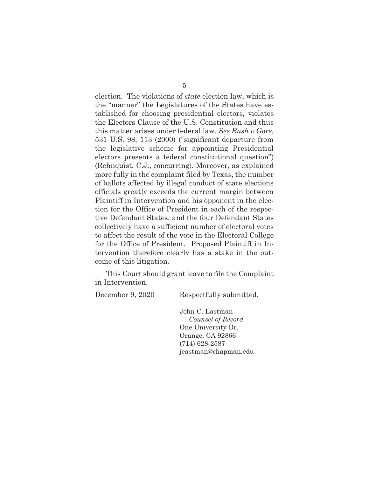election. The violations of *state* election law, which is the "manner" the Legislatures of the States have established for choosing presidential electors, violates the Electors Clause of the U.S. Constitution and thus this matter arises under federal law. *See Bush v Gore*, 531 U.S. 98, 113 (2000) ("significant departure from the legislative scheme for appointing Presidential electors presents a federal constitutional question") (Rehnquist, C.J., concurring). Moreover, as explained more fully in the complaint filed by Texas, the number of ballots affected by illegal conduct of state elections officials greatly exceeds the current margin between Plaintiff in Intervention and his opponent in the election for the Office of President in each of the respective Defendant States, and the four Defendant States collectively have a sufficient number of electoral votes to affect the result of the vote in the Electoral College for the Office of President. Proposed Plaintiff in Intervention therefore clearly has a stake in the outcome of this litigation.

This Court should grant leave to file the Complaint in Intervention.

December 9, 2020 Respectfully submitted,

John C. Eastman *Counsel of Record*  One University Dr. Orange, CA 92866 (714) 628-2587 jeastman@chapman.edu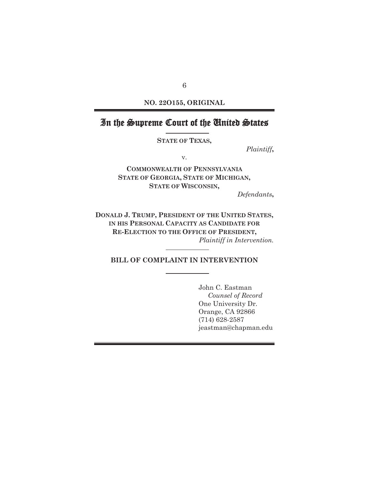**NO. 22O155, ORIGINAL** 

# In the Supreme Court of the United States

**STATE OF TEXAS,** 

*Plaintiff***,** 

v.

**COMMONWEALTH OF PENNSYLVANIA STATE OF GEORGIA, STATE OF MICHIGAN, STATE OF WISCONSIN,** 

*Defendants***,** 

**DONALD J. TRUMP, PRESIDENT OF THE UNITED STATES, IN HIS PERSONAL CAPACITY AS CANDIDATE FOR RE-ELECTION TO THE OFFICE OF PRESIDENT,**  *Plaintiff in Intervention.*

**BILL OF COMPLAINT IN INTERVENTION** 

John C. Eastman *Counsel of Record*  One University Dr. Orange, CA 92866 (714) 628-2587 jeastman@chapman.edu

6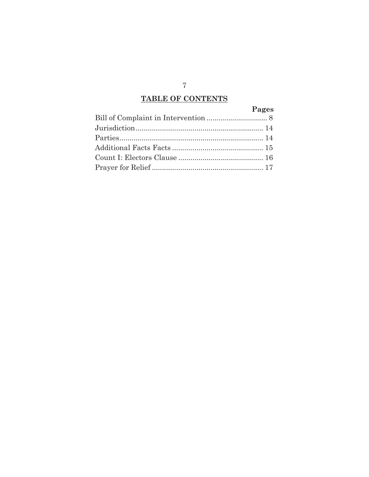# **TABLE OF CONTENTS**

# **Pages**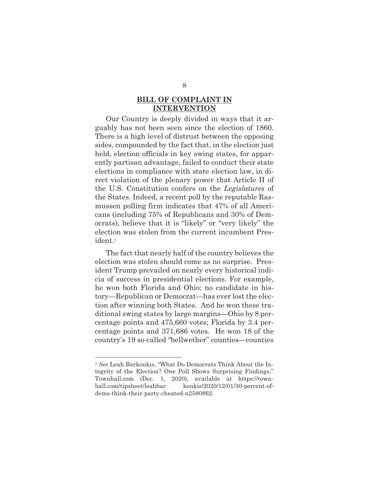### **BILL OF COMPLAINT IN INTERVENTION**

Our Country is deeply divided in ways that it arguably has not been seen since the election of 1860. There is a high level of distrust between the opposing sides, compounded by the fact that, in the election just held, election officials in key swing states, for apparently partisan advantage, failed to conduct their state elections in compliance with state election law, in direct violation of the plenary power that Article II of the U.S. Constitution confers on the *Legislatures* of the States. Indeed, a recent poll by the reputable Rasmussen polling firm indicates that 47% of all Americans (including 75% of Republicans and 30% of Democrats), believe that it is "likely" or "very likely" the election was stolen from the current incumbent President.1

The fact that nearly half of the country believes the election was stolen should come as no surprise. President Trump prevailed on nearly every historical indicia of success in presidential elections. For example, he won both Florida and Ohio; no candidate in history—Republican or Democrat—has ever lost the election after winning both States. And he won these traditional swing states by large margins—Ohio by 8 percentage points and 475,660 votes; Florida by 3.4 percentage points and 371,686 votes. He won 18 of the country's 19 so-called "bellwether" counties—counties

<sup>1</sup> *See* Leah Barkoukis, "What Do Democrats Think About the Integrity of the Election? One Poll Shows Surprising Findings," Townhall.com (Dec. 1, 2020), available at https://townhall.com/tipsheet/leahbar koukis/2020/12/01/30-percent-ofdems-think-their-party-cheated-n2580862.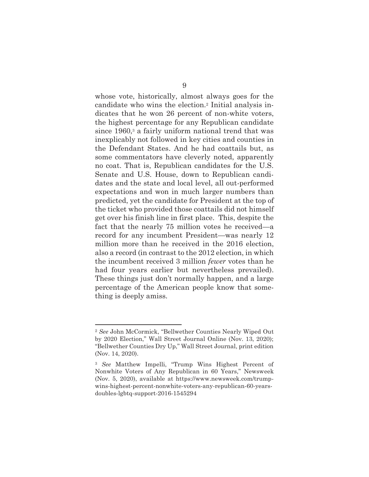whose vote, historically, almost always goes for the candidate who wins the election.2 Initial analysis indicates that he won 26 percent of non-white voters, the highest percentage for any Republican candidate since 1960,<sup>3</sup> a fairly uniform national trend that was inexplicably not followed in key cities and counties in the Defendant States. And he had coattails but, as some commentators have cleverly noted, apparently no coat. That is, Republican candidates for the U.S. Senate and U.S. House, down to Republican candidates and the state and local level, all out-performed expectations and won in much larger numbers than predicted, yet the candidate for President at the top of the ticket who provided those coattails did not himself get over his finish line in first place. This, despite the fact that the nearly 75 million votes he received—a record for any incumbent President—was nearly 12 million more than he received in the 2016 election, also a record (in contrast to the 2012 election, in which the incumbent received 3 million *fewer* votes than he had four years earlier but nevertheless prevailed). These things just don't normally happen, and a large percentage of the American people know that something is deeply amiss.

<sup>2</sup> *See* John McCormick, "Bellwether Counties Nearly Wiped Out by 2020 Election," Wall Street Journal Online (Nov. 13, 2020); "Bellwether Counties Dry Up," Wall Street Journal, print edition (Nov. 14, 2020).

<sup>3</sup> *See* Matthew Impelli, "Trump Wins Highest Percent of Nonwhite Voters of Any Republican in 60 Years," Newsweek (Nov. 5, 2020), available at https://www.newsweek.com/trumpwins-highest-percent-nonwhite-voters-any-republican-60-yearsdoubles-lgbtq-support-2016-1545294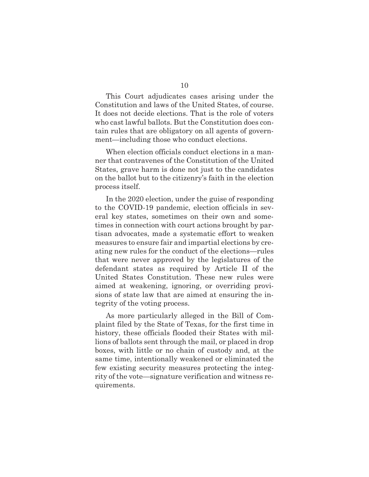This Court adjudicates cases arising under the Constitution and laws of the United States, of course. It does not decide elections. That is the role of voters who cast lawful ballots. But the Constitution does contain rules that are obligatory on all agents of government—including those who conduct elections.

When election officials conduct elections in a manner that contravenes of the Constitution of the United States, grave harm is done not just to the candidates on the ballot but to the citizenry's faith in the election process itself.

In the 2020 election, under the guise of responding to the COVID-19 pandemic, election officials in several key states, sometimes on their own and sometimes in connection with court actions brought by partisan advocates, made a systematic effort to weaken measures to ensure fair and impartial elections by creating new rules for the conduct of the elections—rules that were never approved by the legislatures of the defendant states as required by Article II of the United States Constitution. These new rules were aimed at weakening, ignoring, or overriding provisions of state law that are aimed at ensuring the integrity of the voting process.

As more particularly alleged in the Bill of Complaint filed by the State of Texas, for the first time in history, these officials flooded their States with millions of ballots sent through the mail, or placed in drop boxes, with little or no chain of custody and, at the same time, intentionally weakened or eliminated the few existing security measures protecting the integrity of the vote—signature verification and witness requirements.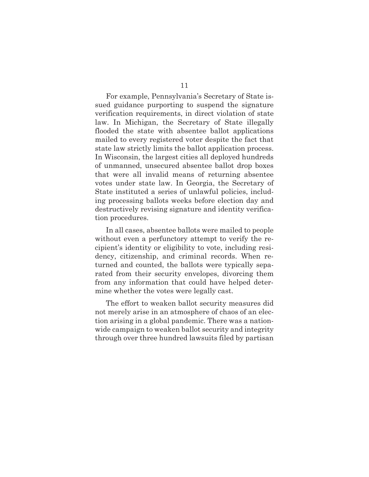For example, Pennsylvania's Secretary of State issued guidance purporting to suspend the signature verification requirements, in direct violation of state law. In Michigan, the Secretary of State illegally flooded the state with absentee ballot applications mailed to every registered voter despite the fact that state law strictly limits the ballot application process. In Wisconsin, the largest cities all deployed hundreds of unmanned, unsecured absentee ballot drop boxes that were all invalid means of returning absentee votes under state law. In Georgia, the Secretary of State instituted a series of unlawful policies, including processing ballots weeks before election day and destructively revising signature and identity verification procedures.

In all cases, absentee ballots were mailed to people without even a perfunctory attempt to verify the recipient's identity or eligibility to vote, including residency, citizenship, and criminal records. When returned and counted, the ballots were typically separated from their security envelopes, divorcing them from any information that could have helped determine whether the votes were legally cast.

The effort to weaken ballot security measures did not merely arise in an atmosphere of chaos of an election arising in a global pandemic. There was a nationwide campaign to weaken ballot security and integrity through over three hundred lawsuits filed by partisan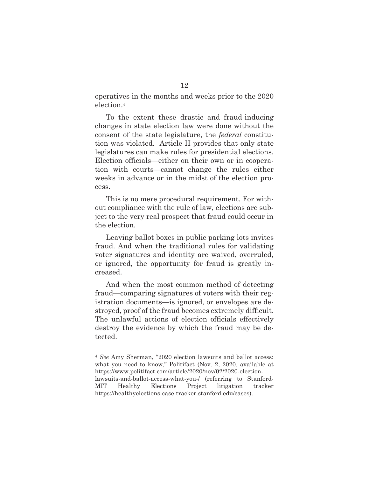operatives in the months and weeks prior to the 2020 election.4

To the extent these drastic and fraud-inducing changes in state election law were done without the consent of the state legislature, the *federal* constitution was violated. Article II provides that only state legislatures can make rules for presidential elections. Election officials—either on their own or in cooperation with courts—cannot change the rules either weeks in advance or in the midst of the election process.

This is no mere procedural requirement. For without compliance with the rule of law, elections are subject to the very real prospect that fraud could occur in the election.

Leaving ballot boxes in public parking lots invites fraud. And when the traditional rules for validating voter signatures and identity are waived, overruled, or ignored, the opportunity for fraud is greatly increased.

And when the most common method of detecting fraud—comparing signatures of voters with their registration documents—is ignored, or envelopes are destroyed, proof of the fraud becomes extremely difficult. The unlawful actions of election officials effectively destroy the evidence by which the fraud may be detected.

<sup>4</sup> *See* Amy Sherman, "2020 election lawsuits and ballot access: what you need to know," Politifact (Nov. 2, 2020, available at https://www.politifact.com/article/2020/nov/02/2020-electionlawsuits-and-ballot-access-what-you-/ (referring to Stanford-MIT Healthy Elections Project litigation tracker https://healthyelections-case-tracker.stanford.edu/cases).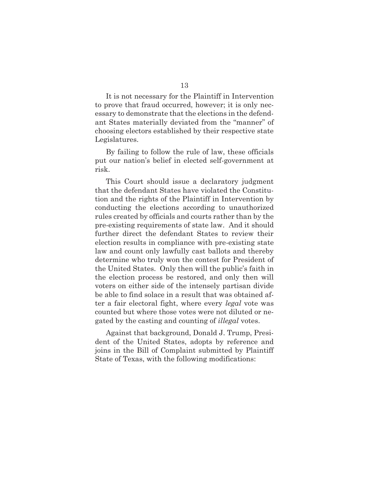It is not necessary for the Plaintiff in Intervention to prove that fraud occurred, however; it is only necessary to demonstrate that the elections in the defendant States materially deviated from the "manner" of choosing electors established by their respective state Legislatures.

By failing to follow the rule of law, these officials put our nation's belief in elected self-government at risk.

This Court should issue a declaratory judgment that the defendant States have violated the Constitution and the rights of the Plaintiff in Intervention by conducting the elections according to unauthorized rules created by officials and courts rather than by the pre-existing requirements of state law. And it should further direct the defendant States to review their election results in compliance with pre-existing state law and count only lawfully cast ballots and thereby determine who truly won the contest for President of the United States. Only then will the public's faith in the election process be restored, and only then will voters on either side of the intensely partisan divide be able to find solace in a result that was obtained after a fair electoral fight, where every *legal* vote was counted but where those votes were not diluted or negated by the casting and counting of *illegal* votes.

Against that background, Donald J. Trump, President of the United States, adopts by reference and joins in the Bill of Complaint submitted by Plaintiff State of Texas, with the following modifications: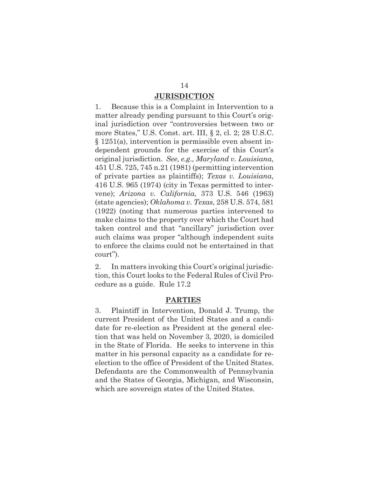### **JURISDICTION**

1. Because this is a Complaint in Intervention to a matter already pending pursuant to this Court's original jurisdiction over "controversies between two or more States," U.S. Const. art. III, § 2, cl. 2; 28 U.S.C. § 1251(a), intervention is permissible even absent independent grounds for the exercise of this Court's original jurisdiction. *See, e.g., Maryland v. Louisiana*, 451 U.S. 725, 745 n.21 (1981) (permitting intervention of private parties as plaintiffs); *Texas v. Louisiana*, 416 U.S. 965 (1974) (city in Texas permitted to intervene); *Arizona v. California*, 373 U.S. 546 (1963) (state agencies); *Oklahoma v. Texas*, 258 U.S. 574, 581 (1922) (noting that numerous parties intervened to make claims to the property over which the Court had taken control and that "ancillary" jurisdiction over such claims was proper "although independent suits to enforce the claims could not be entertained in that court").

2. In matters invoking this Court's original jurisdiction, this Court looks to the Federal Rules of Civil Procedure as a guide. Rule 17.2

#### **PARTIES**

3. Plaintiff in Intervention, Donald J. Trump, the current President of the United States and a candidate for re-election as President at the general election that was held on November 3, 2020, is domiciled in the State of Florida. He seeks to intervene in this matter in his personal capacity as a candidate for reelection to the office of President of the United States. Defendants are the Commonwealth of Pennsylvania and the States of Georgia, Michigan, and Wisconsin, which are sovereign states of the United States.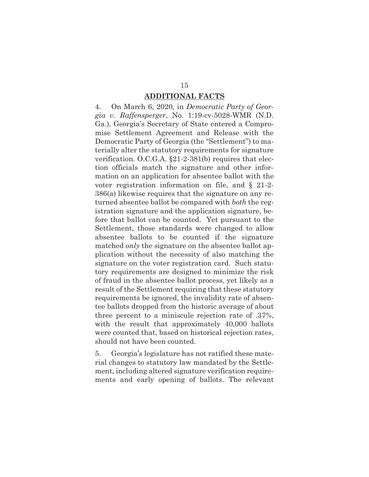### **ADDITIONAL FACTS**

4. On March 6, 2020, in *Democratic Party of Georgia v. Raffensperger*, No. 1:19-cv-5028-WMR (N.D. Ga.), Georgia's Secretary of State entered a Compromise Settlement Agreement and Release with the Democratic Party of Georgia (the "Settlement") to materially alter the statutory requirements for signature verification. O.C.G.A. §21-2-381(b) requires that election officials match the signature and other information on an application for absentee ballot with the voter registration information on file, and § 21-2- 386(a) likewise requires that the signature on any returned absentee ballot be compared with *both* the registration signature and the application signature, before that ballot can be counted. Yet pursuant to the Settlement, those standards were changed to allow absentee ballots to be counted if the signature matched *only* the signature on the absentee ballot application without the necessity of also matching the signature on the voter registration card. Such statutory requirements are designed to minimize the risk of fraud in the absentee ballot process, yet likely as a result of the Settlement requiring that these statutory requirements be ignored, the invalidity rate of absentee ballots dropped from the historic average of about three percent to a miniscule rejection rate of .37%, with the result that approximately 40,000 ballots were counted that, based on historical rejection rates, should not have been counted.

5. Georgia's legislature has not ratified these material changes to statutory law mandated by the Settlement, including altered signature verification requirements and early opening of ballots. The relevant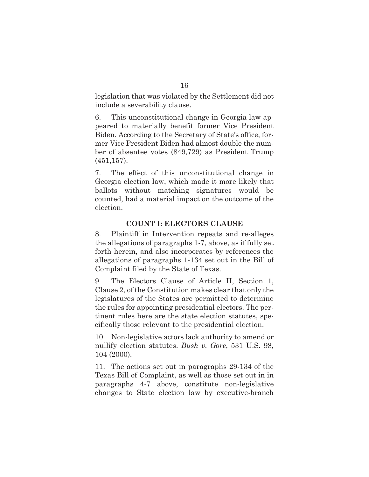legislation that was violated by the Settlement did not include a severability clause.

6. This unconstitutional change in Georgia law appeared to materially benefit former Vice President Biden. According to the Secretary of State's office, former Vice President Biden had almost double the number of absentee votes (849,729) as President Trump (451,157).

7. The effect of this unconstitutional change in Georgia election law, which made it more likely that ballots without matching signatures would be counted, had a material impact on the outcome of the election.

### **COUNT I: ELECTORS CLAUSE**

8. Plaintiff in Intervention repeats and re-alleges the allegations of paragraphs 1-7, above, as if fully set forth herein, and also incorporates by references the allegations of paragraphs 1-134 set out in the Bill of Complaint filed by the State of Texas.

9. The Electors Clause of Article II, Section 1, Clause 2, of the Constitution makes clear that only the legislatures of the States are permitted to determine the rules for appointing presidential electors. The pertinent rules here are the state election statutes, specifically those relevant to the presidential election.

10. Non-legislative actors lack authority to amend or nullify election statutes. *Bush v. Gore*, 531 U.S. 98, 104 (2000).

11. The actions set out in paragraphs 29-134 of the Texas Bill of Complaint, as well as those set out in in paragraphs 4-7 above, constitute non-legislative changes to State election law by executive-branch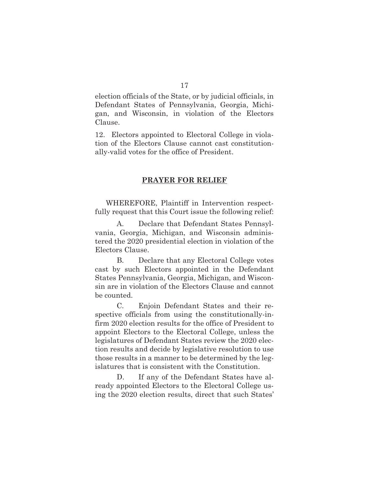election officials of the State, or by judicial officials, in Defendant States of Pennsylvania, Georgia, Michigan, and Wisconsin, in violation of the Electors Clause.

12. Electors appointed to Electoral College in violation of the Electors Clause cannot cast constitutionally-valid votes for the office of President.

#### **PRAYER FOR RELIEF**

WHEREFORE, Plaintiff in Intervention respectfully request that this Court issue the following relief:

A. Declare that Defendant States Pennsylvania, Georgia, Michigan, and Wisconsin administered the 2020 presidential election in violation of the Electors Clause.

B. Declare that any Electoral College votes cast by such Electors appointed in the Defendant States Pennsylvania, Georgia, Michigan, and Wisconsin are in violation of the Electors Clause and cannot be counted.

C. Enjoin Defendant States and their respective officials from using the constitutionally-infirm 2020 election results for the office of President to appoint Electors to the Electoral College, unless the legislatures of Defendant States review the 2020 election results and decide by legislative resolution to use those results in a manner to be determined by the legislatures that is consistent with the Constitution.

D. If any of the Defendant States have already appointed Electors to the Electoral College using the 2020 election results, direct that such States'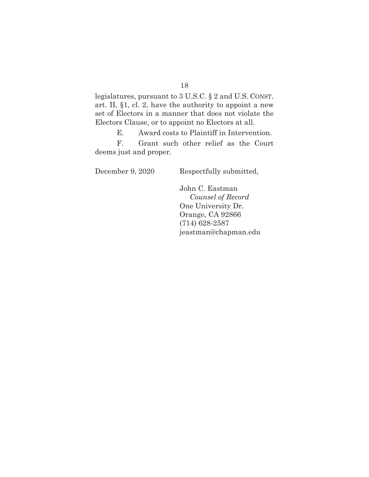legislatures, pursuant to 3 U.S.C. § 2 and U.S. CONST. art. II, §1, cl. 2, have the authority to appoint a new set of Electors in a manner that does not violate the Electors Clause, or to appoint no Electors at all.

E. Award costs to Plaintiff in Intervention.

F. Grant such other relief as the Court deems just and proper.

December 9, 2020 Respectfully submitted,

John C. Eastman *Counsel of Record*  One University Dr. Orange, CA 92866 (714) 628-2587 jeastman@chapman.edu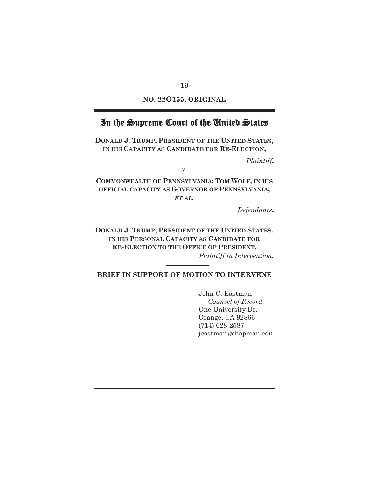**NO. 22O155, ORIGINAL** 

# In the Supreme Court of the United States

**DONALD J. TRUMP, PRESIDENT OF THE UNITED STATES, IN HIS CAPACITY AS CANDIDATE FOR RE-ELECTION,**

*Plaintiff***,** 

v.

**COMMONWEALTH OF PENNSYLVANIA; TOM WOLF, IN HIS OFFICIAL CAPACITY AS GOVERNOR OF PENNSYLVANIA;** *ET AL.* 

*Defendants***,** 

**DONALD J. TRUMP, PRESIDENT OF THE UNITED STATES, IN HIS PERSONAL CAPACITY AS CANDIDATE FOR RE-ELECTION TO THE OFFICE OF PRESIDENT,**  *Plaintiff in Intervention.*

**BRIEF IN SUPPORT OF MOTION TO INTERVENE** 

John C. Eastman *Counsel of Record*  One University Dr. Orange, CA 92866 (714) 628-2587 jeastman@chapman.edu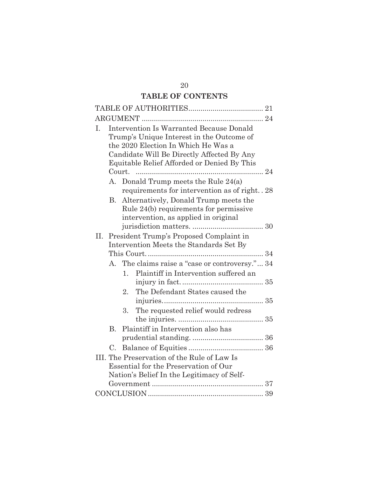# **TABLE OF CONTENTS**

| I.                                          |                                                    | <b>Intervention Is Warranted Because Donald</b> |  |  |  |  |
|---------------------------------------------|----------------------------------------------------|-------------------------------------------------|--|--|--|--|
|                                             |                                                    | Trump's Unique Interest in the Outcome of       |  |  |  |  |
|                                             |                                                    | the 2020 Election In Which He Was a             |  |  |  |  |
|                                             | Candidate Will Be Directly Affected By Any         |                                                 |  |  |  |  |
|                                             | Equitable Relief Afforded or Denied By This        |                                                 |  |  |  |  |
|                                             |                                                    |                                                 |  |  |  |  |
|                                             | A. Donald Trump meets the Rule 24(a)               |                                                 |  |  |  |  |
|                                             | requirements for intervention as of right. . 28    |                                                 |  |  |  |  |
|                                             | Alternatively, Donald Trump meets the<br><b>B.</b> |                                                 |  |  |  |  |
|                                             | Rule 24(b) requirements for permissive             |                                                 |  |  |  |  |
|                                             | intervention, as applied in original               |                                                 |  |  |  |  |
|                                             |                                                    |                                                 |  |  |  |  |
|                                             | II. President Trump's Proposed Complaint in        |                                                 |  |  |  |  |
|                                             | Intervention Meets the Standards Set By            |                                                 |  |  |  |  |
|                                             | A. The claims raise a "case or controversy." 34    |                                                 |  |  |  |  |
|                                             |                                                    |                                                 |  |  |  |  |
|                                             |                                                    | Plaintiff in Intervention suffered an<br>1.     |  |  |  |  |
|                                             |                                                    |                                                 |  |  |  |  |
|                                             |                                                    | The Defendant States caused the<br>2.           |  |  |  |  |
|                                             |                                                    |                                                 |  |  |  |  |
|                                             |                                                    | The requested relief would redress<br>3.        |  |  |  |  |
|                                             |                                                    |                                                 |  |  |  |  |
|                                             | $B_{\perp}$                                        | Plaintiff in Intervention also has              |  |  |  |  |
|                                             |                                                    |                                                 |  |  |  |  |
|                                             | $C_{\cdot}$                                        |                                                 |  |  |  |  |
| III. The Preservation of the Rule of Law Is |                                                    |                                                 |  |  |  |  |
| Essential for the Preservation of Our       |                                                    |                                                 |  |  |  |  |
| Nation's Belief In the Legitimacy of Self-  |                                                    |                                                 |  |  |  |  |
|                                             |                                                    |                                                 |  |  |  |  |
|                                             |                                                    |                                                 |  |  |  |  |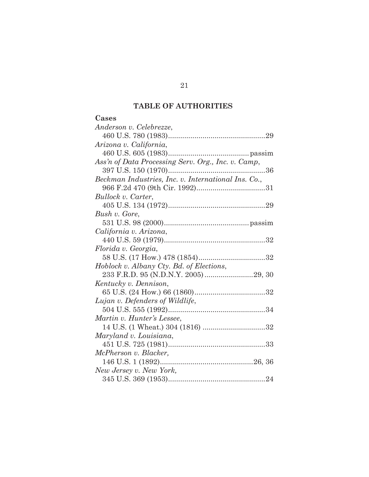# **TABLE OF AUTHORITIES**

## **Cases**

| Anderson v. Celebrezze,                             |
|-----------------------------------------------------|
|                                                     |
| Arizona v. California,                              |
|                                                     |
| Ass'n of Data Processing Serv. Org., Inc. v. Camp,  |
| . 36                                                |
| Beckman Industries, Inc. v. International Ins. Co., |
|                                                     |
| Bullock v. Carter,                                  |
|                                                     |
| Bush v. Gore,                                       |
|                                                     |
| California v. Arizona,                              |
|                                                     |
| Florida v. Georgia,                                 |
|                                                     |
| Hoblock v. Albany Cty. Bd. of Elections,            |
|                                                     |
| Kentucky v. Dennison,                               |
|                                                     |
| Lujan v. Defenders of Wildlife,                     |
|                                                     |
| Martin v. Hunter's Lessee,                          |
| 14 U.S. (1 Wheat.) 304 (1816) 32                    |
| Maryland v. Louisiana,                              |
|                                                     |
| McPherson v. Blacker,                               |
|                                                     |
| New Jersey v. New York,                             |
|                                                     |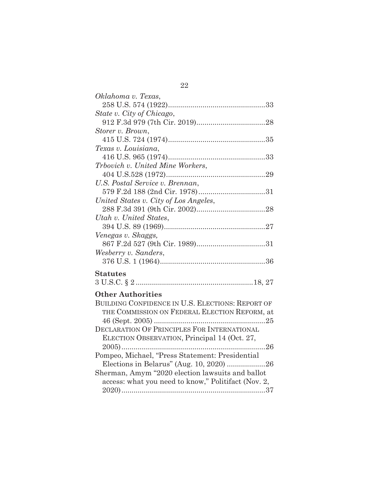| Oklahoma v. Texas,                                  |
|-----------------------------------------------------|
|                                                     |
| State v. City of Chicago,                           |
|                                                     |
| Storer v. Brown,                                    |
|                                                     |
| Texas v. Louisiana.                                 |
|                                                     |
| Trbovich v. United Mine Workers,                    |
|                                                     |
| U.S. Postal Service v. Brennan,                     |
|                                                     |
| United States v. City of Los Angeles,               |
|                                                     |
| Utah v. United States,                              |
|                                                     |
| Venegas v. Skaggs,                                  |
|                                                     |
| Wesberry v. Sanders,                                |
|                                                     |
| <b>Statutes</b>                                     |
|                                                     |
|                                                     |
| <b>Other Authorities</b>                            |
| BUILDING CONFIDENCE IN U.S. ELECTIONS: REPORT OF    |
| THE COMMISSION ON FEDERAL ELECTION REFORM, at       |
|                                                     |
| DECLARATION OF PRINCIPLES FOR INTERNATIONAL         |
| ELECTION OBSERVATION, Principal 14 (Oct. 27,        |
|                                                     |
| Pompeo, Michael, "Press Statement: Presidential     |
|                                                     |
| Sherman, Amym "2020 election lawsuits and ballot    |
| access: what you need to know," Politifact (Nov. 2, |
|                                                     |

22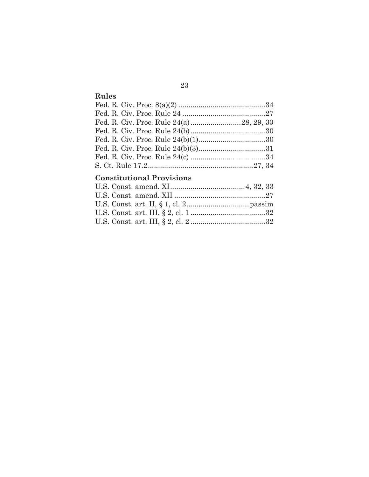# **Rules**

# **Constitutional Provisions**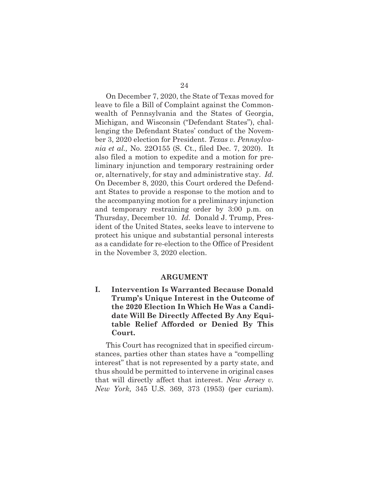On December 7, 2020, the State of Texas moved for leave to file a Bill of Complaint against the Commonwealth of Pennsylvania and the States of Georgia, Michigan, and Wisconsin ("Defendant States"), challenging the Defendant States' conduct of the November 3, 2020 election for President. *Texas v. Pennsylvania et al.,* No. 22O155 (S. Ct., filed Dec. 7, 2020). It also filed a motion to expedite and a motion for preliminary injunction and temporary restraining order or, alternatively, for stay and administrative stay. *Id.*  On December 8, 2020, this Court ordered the Defendant States to provide a response to the motion and to the accompanying motion for a preliminary injunction and temporary restraining order by 3:00 p.m. on Thursday, December 10. *Id.* Donald J. Trump, President of the United States, seeks leave to intervene to protect his unique and substantial personal interests as a candidate for re-election to the Office of President in the November 3, 2020 election.

#### **ARGUMENT**

**I. Intervention Is Warranted Because Donald Trump's Unique Interest in the Outcome of the 2020 Election In Which He Was a Candidate Will Be Directly Affected By Any Equitable Relief Afforded or Denied By This Court.** 

This Court has recognized that in specified circumstances, parties other than states have a "compelling interest" that is not represented by a party state, and thus should be permitted to intervene in original cases that will directly affect that interest. *New Jersey v. New York,* 345 U.S. 369, 373 (1953) (per curiam).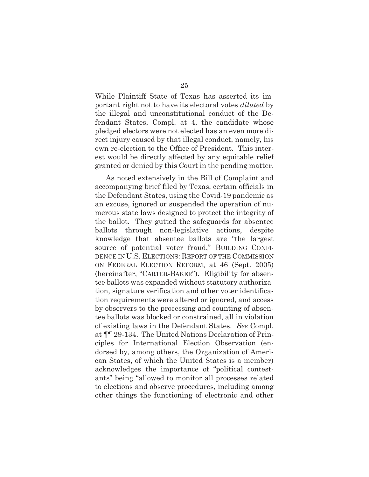While Plaintiff State of Texas has asserted its important right not to have its electoral votes *diluted* by the illegal and unconstitutional conduct of the Defendant States, Compl. at 4, the candidate whose pledged electors were not elected has an even more direct injury caused by that illegal conduct, namely, his own re-election to the Office of President. This interest would be directly affected by any equitable relief granted or denied by this Court in the pending matter.

As noted extensively in the Bill of Complaint and accompanying brief filed by Texas, certain officials in the Defendant States, using the Covid-19 pandemic as an excuse, ignored or suspended the operation of numerous state laws designed to protect the integrity of the ballot. They gutted the safeguards for absentee ballots through non-legislative actions, despite knowledge that absentee ballots are "the largest source of potential voter fraud," BUILDING CONFI-DENCE IN U.S. ELECTIONS: REPORT OF THE COMMISSION ON FEDERAL ELECTION REFORM, at 46 (Sept. 2005) (hereinafter, "CARTER-BAKER"). Eligibility for absentee ballots was expanded without statutory authorization, signature verification and other voter identification requirements were altered or ignored, and access by observers to the processing and counting of absentee ballots was blocked or constrained, all in violation of existing laws in the Defendant States. *See* Compl. at ¶¶ 29-134. The United Nations Declaration of Principles for International Election Observation (endorsed by, among others, the Organization of American States, of which the United States is a member) acknowledges the importance of "political contestants" being "allowed to monitor all processes related to elections and observe procedures, including among other things the functioning of electronic and other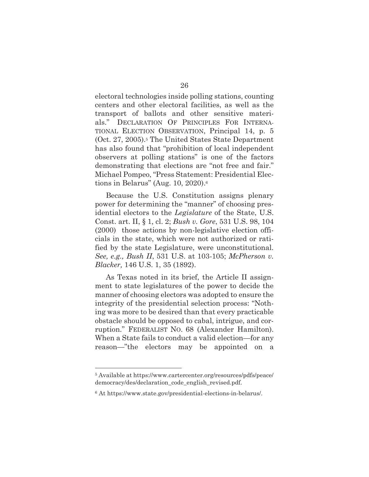electoral technologies inside polling stations, counting centers and other electoral facilities, as well as the transport of ballots and other sensitive materials." DECLARATION OF PRINCIPLES FOR INTERNA-TIONAL ELECTION OBSERVATION, Principal 14, p. 5 (Oct. 27, 2005).5 The United States State Department has also found that "prohibition of local independent observers at polling stations" is one of the factors demonstrating that elections are "not free and fair." Michael Pompeo, "Press Statement: Presidential Elections in Belarus" (Aug. 10, 2020).6

Because the U.S. Constitution assigns plenary power for determining the "manner" of choosing presidential electors to the *Legislature* of the State, U.S. Const. art. II, § 1, cl. 2; *Bush v. Gore*, 531 U.S. 98, 104 (2000)those actions by non-legislative election officials in the state, which were not authorized or ratified by the state Legislature, were unconstitutional. *See, e.g., Bush II*, 531 U.S. at 103-105; *McPherson v. Blacker,* 146 U.S. 1, 35 (1892).

As Texas noted in its brief, the Article II assignment to state legislatures of the power to decide the manner of choosing electors was adopted to ensure the integrity of the presidential selection process: "Nothing was more to be desired than that every practicable obstacle should be opposed to cabal, intrigue, and corruption." FEDERALIST NO. 68 (Alexander Hamilton). When a State fails to conduct a valid election—for any reason—"the electors may be appointed on a

<sup>5</sup> Available at https://www.cartercenter.org/resources/pdfs/peace/ democracy/des/declaration\_code\_english\_revised.pdf.

<sup>6</sup> At https://www.state.gov/presidential-elections-in-belarus/.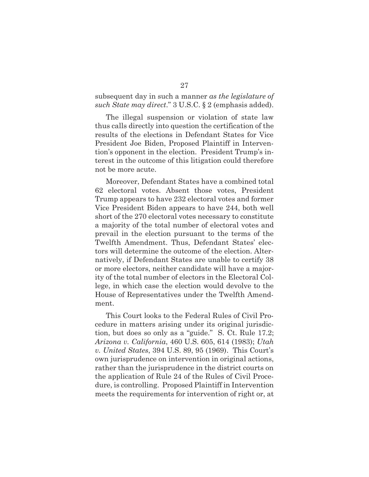subsequent day in such a manner *as the legislature of such State may direct*." 3 U.S.C. § 2 (emphasis added).

The illegal suspension or violation of state law thus calls directly into question the certification of the results of the elections in Defendant States for Vice President Joe Biden, Proposed Plaintiff in Intervention's opponent in the election. President Trump's interest in the outcome of this litigation could therefore not be more acute.

Moreover, Defendant States have a combined total 62 electoral votes. Absent those votes, President Trump appears to have 232 electoral votes and former Vice President Biden appears to have 244, both well short of the 270 electoral votes necessary to constitute a majority of the total number of electoral votes and prevail in the election pursuant to the terms of the Twelfth Amendment. Thus, Defendant States' electors will determine the outcome of the election. Alternatively, if Defendant States are unable to certify 38 or more electors, neither candidate will have a majority of the total number of electors in the Electoral College, in which case the election would devolve to the House of Representatives under the Twelfth Amendment.

This Court looks to the Federal Rules of Civil Procedure in matters arising under its original jurisdiction, but does so only as a "guide." S. Ct. Rule 17.2; *Arizona v. California*, 460 U.S. 605, 614 (1983); *Utah v. United States*, 394 U.S. 89, 95 (1969). This Court's own jurisprudence on intervention in original actions, rather than the jurisprudence in the district courts on the application of Rule 24 of the Rules of Civil Procedure, is controlling. Proposed Plaintiff in Intervention meets the requirements for intervention of right or, at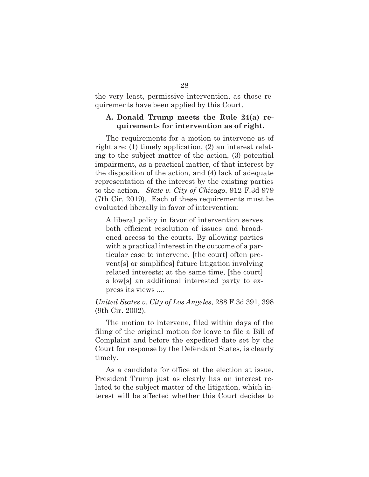the very least, permissive intervention, as those requirements have been applied by this Court.

#### **A. Donald Trump meets the Rule 24(a) requirements for intervention as of right.**

The requirements for a motion to intervene as of right are: (1) timely application, (2) an interest relating to the subject matter of the action, (3) potential impairment, as a practical matter, of that interest by the disposition of the action, and (4) lack of adequate representation of the interest by the existing parties to the action. *State v. City of Chicago*, 912 F.3d 979 (7th Cir. 2019). Each of these requirements must be evaluated liberally in favor of intervention:

A liberal policy in favor of intervention serves both efficient resolution of issues and broadened access to the courts. By allowing parties with a practical interest in the outcome of a particular case to intervene, [the court] often prevent[s] or simplifies] future litigation involving related interests; at the same time, [the court] allow[s] an additional interested party to express its views ....

*United States v. City of Los Angeles*, 288 F.3d 391, 398 (9th Cir. 2002).

The motion to intervene, filed within days of the filing of the original motion for leave to file a Bill of Complaint and before the expedited date set by the Court for response by the Defendant States, is clearly timely.

As a candidate for office at the election at issue, President Trump just as clearly has an interest related to the subject matter of the litigation, which interest will be affected whether this Court decides to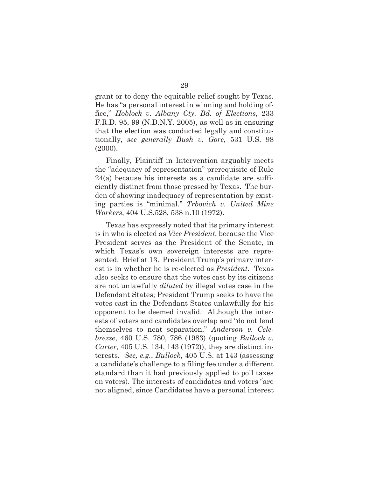grant or to deny the equitable relief sought by Texas. He has "a personal interest in winning and holding office," *Hoblock v. Albany Cty. Bd. of Elections*, 233 F.R.D. 95, 99 (N.D.N.Y. 2005), as well as in ensuring that the election was conducted legally and constitutionally, *see generally Bush v. Gore*, 531 U.S. 98 (2000).

Finally, Plaintiff in Intervention arguably meets the "adequacy of representation" prerequisite of Rule 24(a) because his interests as a candidate are sufficiently distinct from those pressed by Texas. The burden of showing inadequacy of representation by existing parties is "minimal." *Trbovich v. United Mine Workers*, 404 U.S.528, 538 n.10 (1972).

Texas has expressly noted that its primary interest is in who is elected as *Vice President*, because the Vice President serves as the President of the Senate, in which Texas's own sovereign interests are represented. Brief at 13. President Trump's primary interest is in whether he is re-elected as *President.* Texas also seeks to ensure that the votes cast by its citizens are not unlawfully *diluted* by illegal votes case in the Defendant States; President Trump seeks to have the votes cast in the Defendant States unlawfully for his opponent to be deemed invalid. Although the interests of voters and candidates overlap and "do not lend themselves to neat separation," *Anderson v. Celebrezze*, 460 U.S. 780, 786 (1983) (quoting *Bullock v. Carter*, 405 U.S. 134, 143 (1972)), they are distinct interests. *See, e.g.*, *Bullock*, 405 U.S. at 143 (assessing a candidate's challenge to a filing fee under a different standard than it had previously applied to poll taxes on voters). The interests of candidates and voters "are not aligned, since Candidates have a personal interest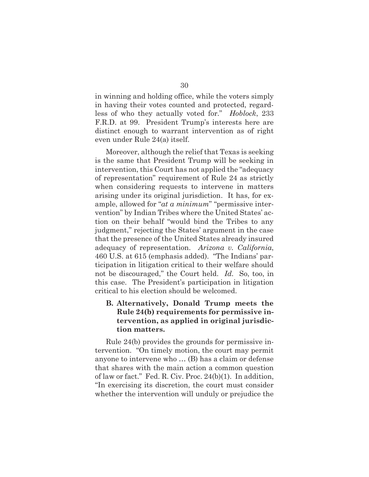in winning and holding office, while the voters simply in having their votes counted and protected, regardless of who they actually voted for." *Hoblock*, 233 F.R.D. at 99. President Trump's interests here are distinct enough to warrant intervention as of right even under Rule 24(a) itself.

Moreover, although the relief that Texas is seeking is the same that President Trump will be seeking in intervention, this Court has not applied the "adequacy of representation" requirement of Rule 24 as strictly when considering requests to intervene in matters arising under its original jurisdiction. It has, for example, allowed for "*at a minimum*" "permissive intervention" by Indian Tribes where the United States' action on their behalf "would bind the Tribes to any judgment," rejecting the States' argument in the case that the presence of the United States already insured adequacy of representation. *Arizona v. California*, 460 U.S. at 615 (emphasis added). "The Indians' participation in litigation critical to their welfare should not be discouraged," the Court held. *Id.* So, too, in this case. The President's participation in litigation critical to his election should be welcomed.

## **B. Alternatively, Donald Trump meets the Rule 24(b) requirements for permissive intervention, as applied in original jurisdiction matters.**

Rule 24(b) provides the grounds for permissive intervention. "On timely motion, the court may permit anyone to intervene who … (B) has a claim or defense that shares with the main action a common question of law or fact." Fed. R. Civ. Proc. 24(b)(1). In addition, "In exercising its discretion, the court must consider whether the intervention will unduly or prejudice the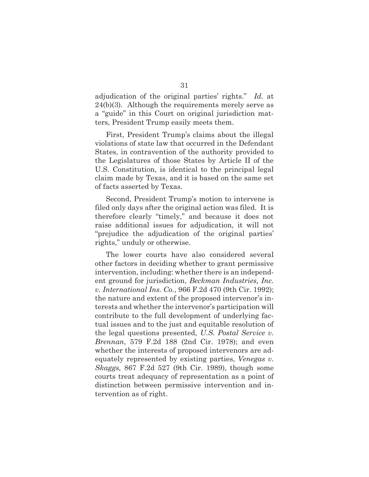adjudication of the original parties' rights." *Id.* at 24(b)(3). Although the requirements merely serve as a "guide" in this Court on original jurisdiction matters, President Trump easily meets them.

First, President Trump's claims about the illegal violations of state law that occurred in the Defendant States, in contravention of the authority provided to the Legislatures of those States by Article II of the U.S. Constitution, is identical to the principal legal claim made by Texas, and it is based on the same set of facts asserted by Texas.

Second, President Trump's motion to intervene is filed only days after the original action was filed. It is therefore clearly "timely," and because it does not raise additional issues for adjudication, it will not "prejudice the adjudication of the original parties' rights," unduly or otherwise.

The lower courts have also considered several other factors in deciding whether to grant permissive intervention, including: whether there is an independent ground for jurisdiction, *Beckman Industries, Inc. v. International Ins. Co.*, 966 F.2d 470 (9th Cir. 1992); the nature and extent of the proposed intervenor's interests and whether the intervenor's participation will contribute to the full development of underlying factual issues and to the just and equitable resolution of the legal questions presented, *U.S. Postal Service v. Brennan*, 579 F.2d 188 (2nd Cir. 1978); and even whether the interests of proposed intervenors are adequately represented by existing parties, *Venegas v. Skaggs,* 867 F.2d 527 (9th Cir. 1989), though some courts treat adequacy of representation as a point of distinction between permissive intervention and intervention as of right.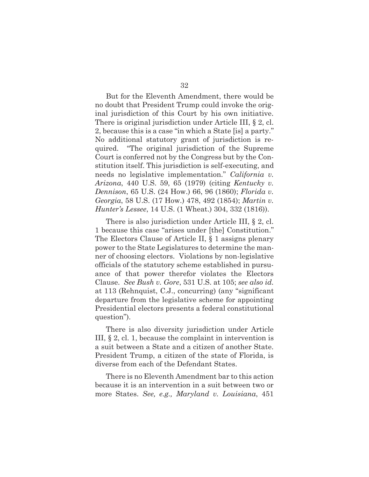But for the Eleventh Amendment, there would be no doubt that President Trump could invoke the original jurisdiction of this Court by his own initiative. There is original jurisdiction under Article III, § 2, cl. 2, because this is a case "in which a State [is] a party." No additional statutory grant of jurisdiction is required. "The original jurisdiction of the Supreme

Court is conferred not by the Congress but by the Constitution itself. This jurisdiction is self-executing, and needs no legislative implementation." *California v. Arizona*, 440 U.S. 59, 65 (1979) (citing *Kentucky v. Dennison*, 65 U.S. (24 How.) 66, 96 (1860); *Florida v. Georgia*, 58 U.S. (17 How.) 478, 492 (1854); *Martin v. Hunter's Lessee*, 14 U.S. (1 Wheat.) 304, 332 (1816)).

There is also jurisdiction under Article III, § 2, cl. 1 because this case "arises under [the] Constitution." The Electors Clause of Article II, § 1 assigns plenary power to the State Legislatures to determine the manner of choosing electors. Violations by non-legislative officials of the statutory scheme established in pursuance of that power therefor violates the Electors Clause. *See Bush v. Gore*, 531 U.S. at 105; *see also id.*  at 113 (Rehnquist, C.J., concurring) (any "significant departure from the legislative scheme for appointing Presidential electors presents a federal constitutional question").

There is also diversity jurisdiction under Article III, § 2, cl. 1, because the complaint in intervention is a suit between a State and a citizen of another State. President Trump, a citizen of the state of Florida, is diverse from each of the Defendant States.

There is no Eleventh Amendment bar to this action because it is an intervention in a suit between two or more States. *See, e.g., Maryland v. Louisiana*, 451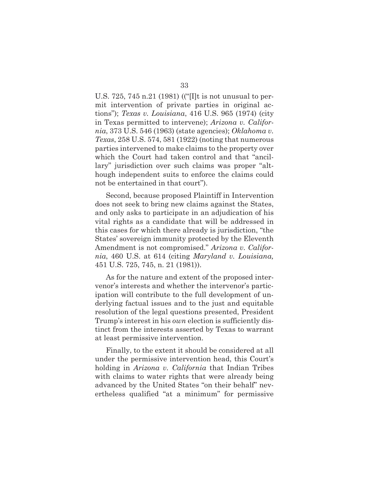U.S. 725, 745 n.21 (1981) (("[I]t is not unusual to permit intervention of private parties in original actions"); *Texas v. Louisiana*, 416 U.S. 965 (1974) (city in Texas permitted to intervene); *Arizona v. California*, 373 U.S. 546 (1963) (state agencies); *Oklahoma v. Texas*, 258 U.S. 574, 581 (1922) (noting that numerous parties intervened to make claims to the property over which the Court had taken control and that "ancillary" jurisdiction over such claims was proper "although independent suits to enforce the claims could not be entertained in that court").

Second, because proposed Plaintiff in Intervention does not seek to bring new claims against the States, and only asks to participate in an adjudication of his vital rights as a candidate that will be addressed in this cases for which there already is jurisdiction, "the States' sovereign immunity protected by the Eleventh Amendment is not compromised." *Arizona v. California*, 460 U.S. at 614 (citing *Maryland v. Louisiana,* 451 U.S. 725, 745, n. 21 (1981)).

As for the nature and extent of the proposed intervenor's interests and whether the intervenor's participation will contribute to the full development of underlying factual issues and to the just and equitable resolution of the legal questions presented, President Trump's interest in his *own* election is sufficiently distinct from the interests asserted by Texas to warrant at least permissive intervention.

Finally, to the extent it should be considered at all under the permissive intervention head, this Court's holding in *Arizona v. California* that Indian Tribes with claims to water rights that were already being advanced by the United States "on their behalf" nevertheless qualified "at a minimum" for permissive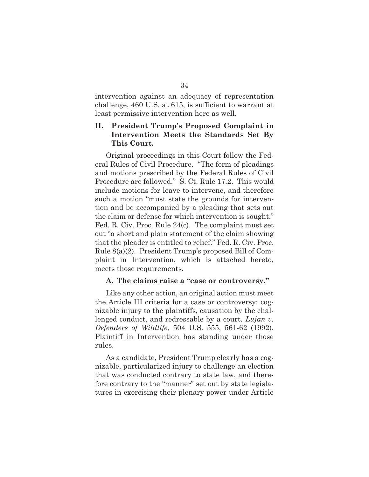intervention against an adequacy of representation challenge, 460 U.S. at 615, is sufficient to warrant at least permissive intervention here as well.

### **II. President Trump's Proposed Complaint in Intervention Meets the Standards Set By This Court.**

Original proceedings in this Court follow the Federal Rules of Civil Procedure. "The form of pleadings and motions prescribed by the Federal Rules of Civil Procedure are followed." S. Ct. Rule 17.2. This would include motions for leave to intervene, and therefore such a motion "must state the grounds for intervention and be accompanied by a pleading that sets out the claim or defense for which intervention is sought." Fed. R. Civ. Proc. Rule 24(c). The complaint must set out "a short and plain statement of the claim showing that the pleader is entitled to relief." Fed. R. Civ. Proc. Rule 8(a)(2). President Trump's proposed Bill of Complaint in Intervention, which is attached hereto, meets those requirements.

#### **A. The claims raise a "case or controversy."**

Like any other action, an original action must meet the Article III criteria for a case or controversy: cognizable injury to the plaintiffs, causation by the challenged conduct, and redressable by a court. *Lujan v. Defenders of Wildlife*, 504 U.S. 555, 561-62 (1992). Plaintiff in Intervention has standing under those rules.

As a candidate, President Trump clearly has a cognizable, particularized injury to challenge an election that was conducted contrary to state law, and therefore contrary to the "manner" set out by state legislatures in exercising their plenary power under Article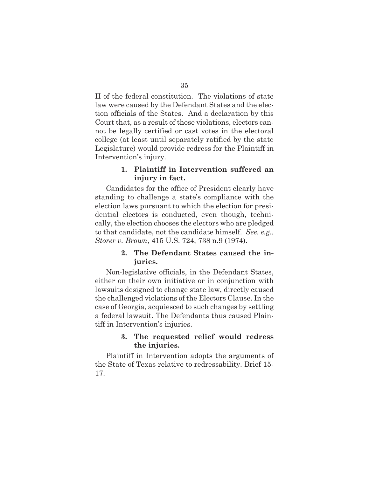II of the federal constitution. The violations of state law were caused by the Defendant States and the election officials of the States. And a declaration by this Court that, as a result of those violations, electors cannot be legally certified or cast votes in the electoral college (at least until separately ratified by the state Legislature) would provide redress for the Plaintiff in Intervention's injury.

## **1. Plaintiff in Intervention suffered an injury in fact.**

Candidates for the office of President clearly have standing to challenge a state's compliance with the election laws pursuant to which the election for presidential electors is conducted, even though, technically, the election chooses the electors who are pledged to that candidate, not the candidate himself. *See, e.g., Storer v. Brown*, 415 U.S. 724, 738 n.9 (1974).

### **2. The Defendant States caused the injuries.**

Non-legislative officials, in the Defendant States, either on their own initiative or in conjunction with lawsuits designed to change state law, directly caused the challenged violations of the Electors Clause. In the case of Georgia, acquiesced to such changes by settling a federal lawsuit. The Defendants thus caused Plaintiff in Intervention's injuries.

### **3. The requested relief would redress the injuries.**

Plaintiff in Intervention adopts the arguments of the State of Texas relative to redressability. Brief 15- 17.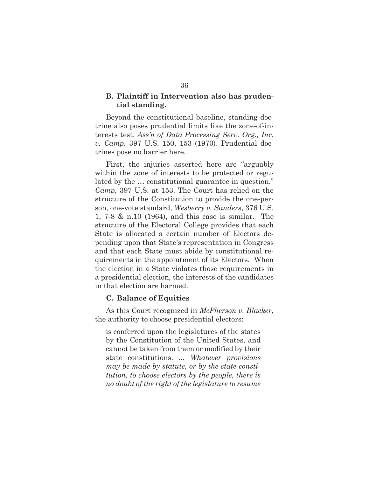### **B. Plaintiff in Intervention also has prudential standing.**

Beyond the constitutional baseline, standing doctrine also poses prudential limits like the zone-of-interests test. *Ass'n of Data Processing Serv. Org., Inc. v. Camp*, 397 U.S. 150, 153 (1970). Prudential doctrines pose no barrier here.

First, the injuries asserted here are "arguably within the zone of interests to be protected or regulated by the … constitutional guarantee in question." *Camp*, 397 U.S. at 153. The Court has relied on the structure of the Constitution to provide the one-person, one-vote standard, *Wesberry v. Sanders*, 376 U.S. 1, 7-8 & n.10 (1964), and this case is similar. The structure of the Electoral College provides that each State is allocated a certain number of Electors depending upon that State's representation in Congress and that each State must abide by constitutional requirements in the appointment of its Electors. When the election in a State violates those requirements in a presidential election, the interests of the candidates in that election are harmed.

#### **C. Balance of Equities**

As this Court recognized in *McPherson v. Blacker*, the authority to choose presidential electors:

is conferred upon the legislatures of the states by the Constitution of the United States, and cannot be taken from them or modified by their state constitutions. ... *Whatever provisions may be made by statute, or by the state constitution, to choose electors by the people, there is no doubt of the right of the legislature to resume*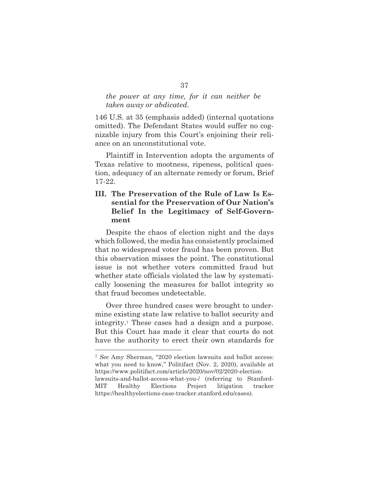### *the power at any time, for it can neither be taken away or abdicated*.

146 U.S. at 35 (emphasis added) (internal quotations omitted). The Defendant States would suffer no cognizable injury from this Court's enjoining their reliance on an unconstitutional vote.

Plaintiff in Intervention adopts the arguments of Texas relative to mootness, ripeness, political question, adequacy of an alternate remedy or forum, Brief 17-22.

## **III. The Preservation of the Rule of Law Is Essential for the Preservation of Our Nation's Belief In the Legitimacy of Self-Government**

Despite the chaos of election night and the days which followed, the media has consistently proclaimed that no widespread voter fraud has been proven. But this observation misses the point. The constitutional issue is not whether voters committed fraud but whether state officials violated the law by systematically loosening the measures for ballot integrity so that fraud becomes undetectable.

Over three hundred cases were brought to undermine existing state law relative to ballot security and integrity.7 These cases had a design and a purpose. But this Court has made it clear that courts do not have the authority to erect their own standards for

<sup>7</sup> *See* Amy Sherman, "2020 election lawsuits and ballot access: what you need to know," Politifact (Nov. 2, 2020), available at https://www.politifact.com/article/2020/nov/02/2020-electionlawsuits-and-ballot-access-what-you-/ (referring to Stanford-MIT Healthy Elections Project litigation tracker https://healthyelections-case-tracker.stanford.edu/cases).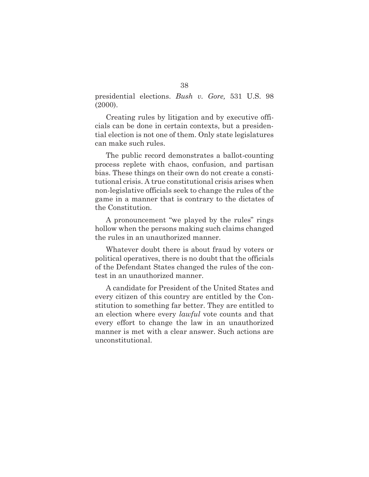presidential elections. *Bush v. Gore,* 531 U.S. 98 (2000).

Creating rules by litigation and by executive officials can be done in certain contexts, but a presidential election is not one of them. Only state legislatures can make such rules.

The public record demonstrates a ballot-counting process replete with chaos, confusion, and partisan bias. These things on their own do not create a constitutional crisis. A true constitutional crisis arises when non-legislative officials seek to change the rules of the game in a manner that is contrary to the dictates of the Constitution.

A pronouncement "we played by the rules" rings hollow when the persons making such claims changed the rules in an unauthorized manner.

Whatever doubt there is about fraud by voters or political operatives, there is no doubt that the officials of the Defendant States changed the rules of the contest in an unauthorized manner.

A candidate for President of the United States and every citizen of this country are entitled by the Constitution to something far better. They are entitled to an election where every *lawful* vote counts and that every effort to change the law in an unauthorized manner is met with a clear answer. Such actions are unconstitutional.